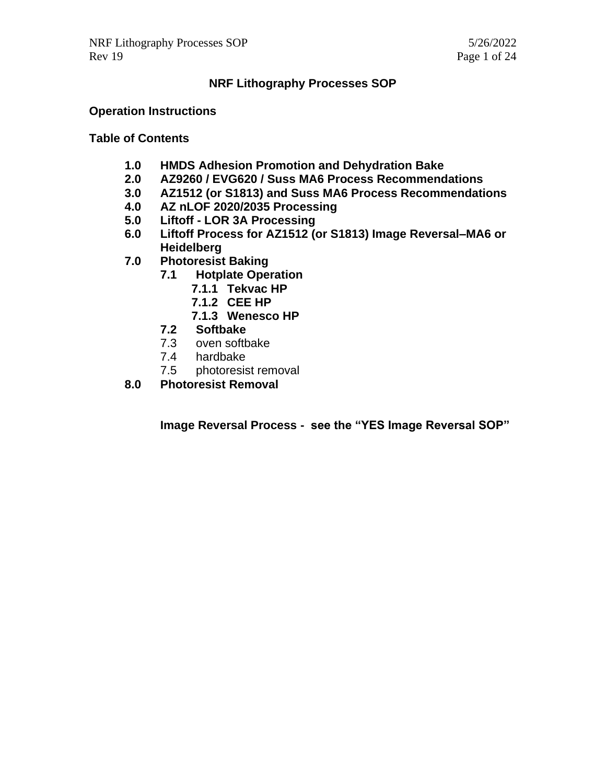#### **NRF Lithography Processes SOP**

#### **Operation Instructions**

#### **Table of Contents**

- **1.0 HMDS Adhesion Promotion and Dehydration Bake**
- **2.0 AZ9260 / EVG620 / Suss MA6 Process Recommendations**
- **3.0 AZ1512 (or S1813) and Suss MA6 Process Recommendations**
- **4.0 AZ nLOF 2020/2035 Processing**
- **5.0 Liftoff - LOR 3A Processing**
- **6.0 Liftoff Process for AZ1512 (or S1813) Image Reversal–MA6 or Heidelberg**
- **7.0 Photoresist Baking**
	- **7.1 Hotplate Operation**
		- **7.1.1 Tekvac HP**
			- **7.1.2 CEE HP**
			- **7.1.3 Wenesco HP**
	- **7.2 Softbake**
	- 7.3 oven softbake
	- 7.4 hardbake
	- 7.5 photoresist removal
- **8.0 Photoresist Removal**

**Image Reversal Process - see the "YES Image Reversal SOP"**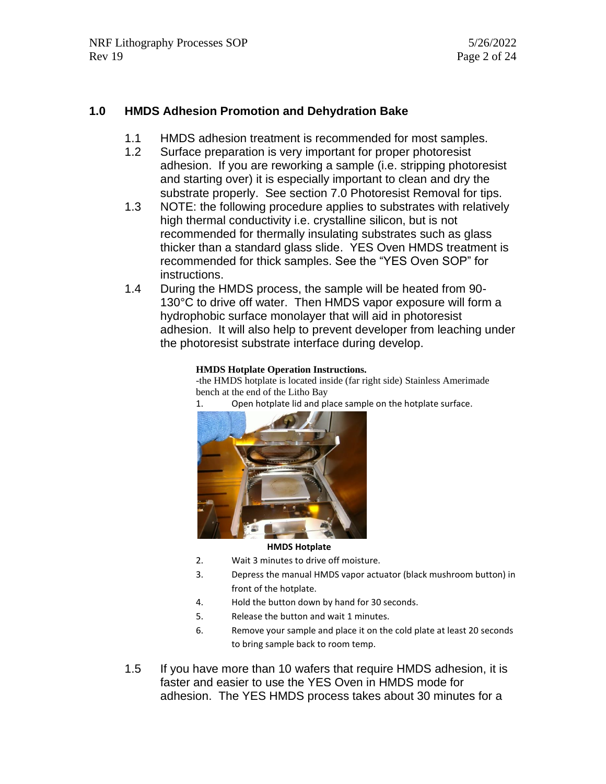#### **1.0 HMDS Adhesion Promotion and Dehydration Bake**

- 1.1 HMDS adhesion treatment is recommended for most samples.
- 1.2 Surface preparation is very important for proper photoresist adhesion. If you are reworking a sample (i.e. stripping photoresist and starting over) it is especially important to clean and dry the substrate properly. See section 7.0 Photoresist Removal for tips.
- 1.3 NOTE: the following procedure applies to substrates with relatively high thermal conductivity i.e. crystalline silicon, but is not recommended for thermally insulating substrates such as glass thicker than a standard glass slide. YES Oven HMDS treatment is recommended for thick samples. See the "YES Oven SOP" for instructions.
- 1.4 During the HMDS process, the sample will be heated from 90- 130°C to drive off water. Then HMDS vapor exposure will form a hydrophobic surface monolayer that will aid in photoresist adhesion. It will also help to prevent developer from leaching under the photoresist substrate interface during develop.

#### **HMDS Hotplate Operation Instructions.**

-the HMDS hotplate is located inside (far right side) Stainless Amerimade bench at the end of the Litho Bay

1. Open hotplate lid and place sample on the hotplate surface.



#### **HMDS Hotplate**

- 2. Wait 3 minutes to drive off moisture.
- 3. Depress the manual HMDS vapor actuator (black mushroom button) in front of the hotplate.
- 4. Hold the button down by hand for 30 seconds.
- 5. Release the button and wait 1 minutes.
- 6. Remove your sample and place it on the cold plate at least 20 seconds to bring sample back to room temp.
- 1.5 If you have more than 10 wafers that require HMDS adhesion, it is faster and easier to use the YES Oven in HMDS mode for adhesion. The YES HMDS process takes about 30 minutes for a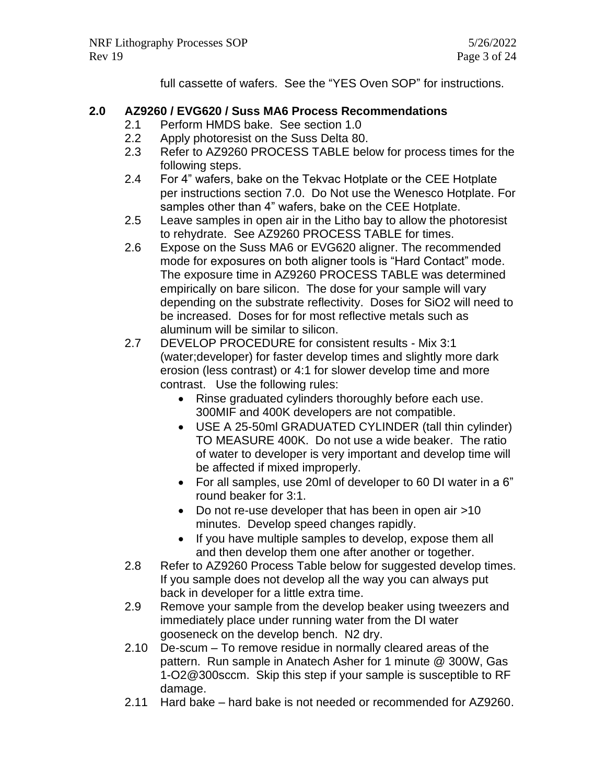full cassette of wafers. See the "YES Oven SOP" for instructions.

# **2.0 AZ9260 / EVG620 / Suss MA6 Process Recommendations**

- 2.1 Perform HMDS bake. See section 1.0
- 2.2 Apply photoresist on the Suss Delta 80.
- 2.3 Refer to AZ9260 PROCESS TABLE below for process times for the following steps.
- 2.4 For 4" wafers, bake on the Tekvac Hotplate or the CEE Hotplate per instructions section 7.0. Do Not use the Wenesco Hotplate. For samples other than 4" wafers, bake on the CEE Hotplate.
- 2.5 Leave samples in open air in the Litho bay to allow the photoresist to rehydrate. See AZ9260 PROCESS TABLE for times.
- 2.6 Expose on the Suss MA6 or EVG620 aligner. The recommended mode for exposures on both aligner tools is "Hard Contact" mode. The exposure time in AZ9260 PROCESS TABLE was determined empirically on bare silicon. The dose for your sample will vary depending on the substrate reflectivity. Doses for SiO2 will need to be increased. Doses for for most reflective metals such as aluminum will be similar to silicon.
- 2.7 DEVELOP PROCEDURE for consistent results Mix 3:1 (water;developer) for faster develop times and slightly more dark erosion (less contrast) or 4:1 for slower develop time and more contrast. Use the following rules:
	- Rinse graduated cylinders thoroughly before each use. 300MIF and 400K developers are not compatible.
	- USE A 25-50ml GRADUATED CYLINDER (tall thin cylinder) TO MEASURE 400K. Do not use a wide beaker. The ratio of water to developer is very important and develop time will be affected if mixed improperly.
	- For all samples, use 20ml of developer to 60 DI water in a 6" round beaker for 3:1.
	- Do not re-use developer that has been in open air >10 minutes. Develop speed changes rapidly.
	- If you have multiple samples to develop, expose them all and then develop them one after another or together.
- 2.8 Refer to AZ9260 Process Table below for suggested develop times. If you sample does not develop all the way you can always put back in developer for a little extra time.
- 2.9 Remove your sample from the develop beaker using tweezers and immediately place under running water from the DI water gooseneck on the develop bench. N2 dry.
- 2.10 De-scum To remove residue in normally cleared areas of the pattern. Run sample in Anatech Asher for 1 minute @ 300W, Gas 1-O2@300sccm. Skip this step if your sample is susceptible to RF damage.
- 2.11 Hard bake hard bake is not needed or recommended for AZ9260.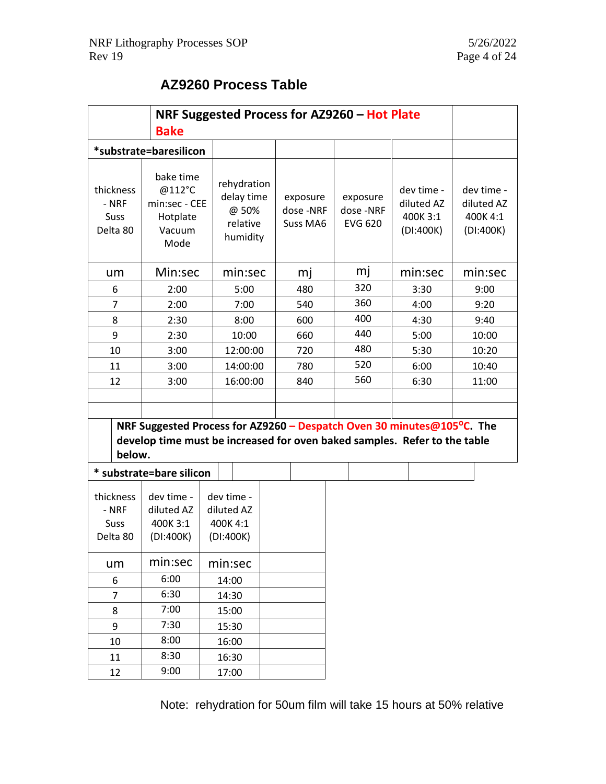# **AZ9260 Process Table**

| NRF Suggested Process for AZ9260 - Hot Plate<br><b>Bake</b>                                                                                                                |                                                                    |         |                                                            |  |                                  |     |  |                                        |                                                   |  |                                                   |
|----------------------------------------------------------------------------------------------------------------------------------------------------------------------------|--------------------------------------------------------------------|---------|------------------------------------------------------------|--|----------------------------------|-----|--|----------------------------------------|---------------------------------------------------|--|---------------------------------------------------|
| *substrate=baresilicon                                                                                                                                                     |                                                                    |         |                                                            |  |                                  |     |  |                                        |                                                   |  |                                                   |
| thickness<br>- NRF<br>Suss<br>Delta 80                                                                                                                                     | bake time<br>@112°C<br>min:sec - CEE<br>Hotplate<br>Vacuum<br>Mode |         | rehydration<br>delay time<br>@ 50%<br>relative<br>humidity |  | exposure<br>dose-NRF<br>Suss MA6 |     |  | exposure<br>dose-NRF<br><b>EVG 620</b> | dev time -<br>diluted AZ<br>400K 3:1<br>(DI:400K) |  | dev time -<br>diluted AZ<br>400K 4:1<br>(DI:400K) |
| um                                                                                                                                                                         | Min:sec                                                            |         | min:sec                                                    |  | mj                               |     |  | mj                                     | min:sec                                           |  | min:sec                                           |
| 6                                                                                                                                                                          | 2:00                                                               |         | 5:00                                                       |  | 480                              |     |  | 320                                    | 3:30                                              |  | 9:00                                              |
| $\overline{7}$                                                                                                                                                             | 2:00                                                               |         | 7:00                                                       |  | 540                              |     |  | 360                                    | 4:00                                              |  | 9:20                                              |
| 8                                                                                                                                                                          | 2:30                                                               |         | 8:00                                                       |  |                                  | 600 |  | 400                                    | 4:30                                              |  | 9:40                                              |
| 9                                                                                                                                                                          | 2:30                                                               |         | 10:00                                                      |  | 660                              |     |  | 440                                    | 5:00                                              |  | 10:00                                             |
| 10                                                                                                                                                                         | 3:00                                                               |         | 12:00:00                                                   |  | 720                              |     |  | 480                                    | 5:30                                              |  | 10:20                                             |
| 11                                                                                                                                                                         | 3:00                                                               |         | 14:00:00                                                   |  | 780                              |     |  | 520                                    | 6:00                                              |  | 10:40                                             |
| 12                                                                                                                                                                         | 3:00                                                               |         | 16:00:00                                                   |  |                                  | 840 |  | 560                                    | 6:30                                              |  | 11:00                                             |
| NRF Suggested Process for AZ9260 - Despatch Oven 30 minutes@105 <sup>o</sup> C. The<br>develop time must be increased for oven baked samples. Refer to the table<br>below. |                                                                    |         |                                                            |  |                                  |     |  |                                        |                                                   |  |                                                   |
| substrate=bare silicon                                                                                                                                                     |                                                                    |         |                                                            |  |                                  |     |  |                                        |                                                   |  |                                                   |
| thickness<br>- NRF<br>Suss<br>Delta 80                                                                                                                                     | dev time -<br>diluted AZ<br>400K3:1<br>(DI:400K)                   |         | dev time -<br>diluted AZ<br>400K 4:1<br>(DI:400K)          |  |                                  |     |  |                                        |                                                   |  |                                                   |
| um                                                                                                                                                                         | min:sec                                                            | min:sec |                                                            |  |                                  |     |  |                                        |                                                   |  |                                                   |
| 6                                                                                                                                                                          | 6:00                                                               | 14:00   |                                                            |  |                                  |     |  |                                        |                                                   |  |                                                   |
| $\overline{7}$                                                                                                                                                             | 6:30                                                               | 14:30   |                                                            |  |                                  |     |  |                                        |                                                   |  |                                                   |
| 8                                                                                                                                                                          | 7:00                                                               | 15:00   |                                                            |  |                                  |     |  |                                        |                                                   |  |                                                   |
| 9                                                                                                                                                                          | 7:30                                                               | 15:30   |                                                            |  |                                  |     |  |                                        |                                                   |  |                                                   |
| 10                                                                                                                                                                         | 8:00                                                               | 16:00   |                                                            |  |                                  |     |  |                                        |                                                   |  |                                                   |
| 11                                                                                                                                                                         | 8:30                                                               |         | 16:30                                                      |  |                                  |     |  |                                        |                                                   |  |                                                   |
| 12                                                                                                                                                                         | 9:00                                                               | 17:00   |                                                            |  |                                  |     |  |                                        |                                                   |  |                                                   |

Note: rehydration for 50um film will take 15 hours at 50% relative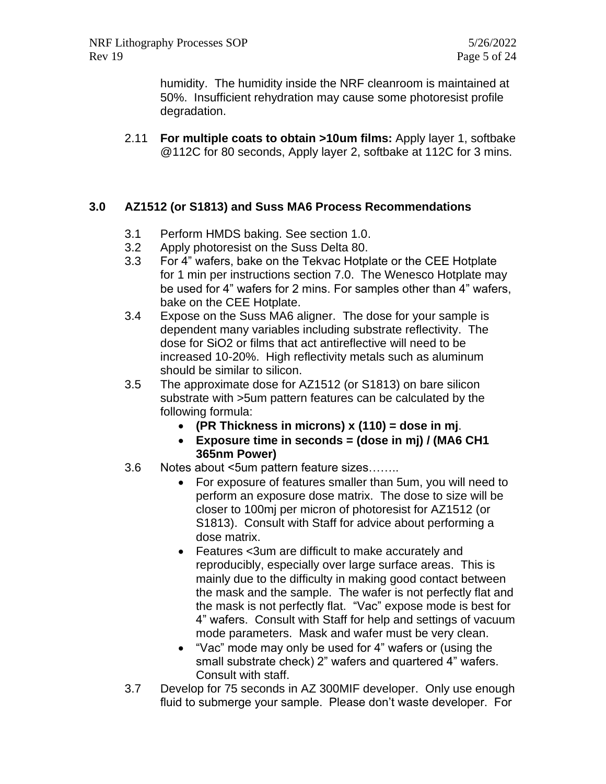humidity. The humidity inside the NRF cleanroom is maintained at 50%. Insufficient rehydration may cause some photoresist profile degradation.

2.11 **For multiple coats to obtain >10um films:** Apply layer 1, softbake @112C for 80 seconds, Apply layer 2, softbake at 112C for 3 mins.

#### **3.0 AZ1512 (or S1813) and Suss MA6 Process Recommendations**

- 3.1 Perform HMDS baking. See section 1.0.
- 3.2 Apply photoresist on the Suss Delta 80.
- 3.3 For 4" wafers, bake on the Tekvac Hotplate or the CEE Hotplate for 1 min per instructions section 7.0. The Wenesco Hotplate may be used for 4" wafers for 2 mins. For samples other than 4" wafers, bake on the CEE Hotplate.
- 3.4 Expose on the Suss MA6 aligner. The dose for your sample is dependent many variables including substrate reflectivity. The dose for SiO2 or films that act antireflective will need to be increased 10-20%. High reflectivity metals such as aluminum should be similar to silicon.
- 3.5 The approximate dose for AZ1512 (or S1813) on bare silicon substrate with >5um pattern features can be calculated by the following formula:
	- **(PR Thickness in microns) x (110) = dose in mj**.
	- **Exposure time in seconds = (dose in mj) / (MA6 CH1 365nm Power)**
- 3.6 Notes about <5um pattern feature sizes……..
	- For exposure of features smaller than 5um, you will need to perform an exposure dose matrix. The dose to size will be closer to 100mj per micron of photoresist for AZ1512 (or S1813). Consult with Staff for advice about performing a dose matrix.
	- Features <3um are difficult to make accurately and reproducibly, especially over large surface areas. This is mainly due to the difficulty in making good contact between the mask and the sample. The wafer is not perfectly flat and the mask is not perfectly flat. "Vac" expose mode is best for 4" wafers. Consult with Staff for help and settings of vacuum mode parameters. Mask and wafer must be very clean.
	- "Vac" mode may only be used for 4" wafers or (using the small substrate check) 2" wafers and quartered 4" wafers. Consult with staff.
- 3.7 Develop for 75 seconds in AZ 300MIF developer. Only use enough fluid to submerge your sample. Please don't waste developer. For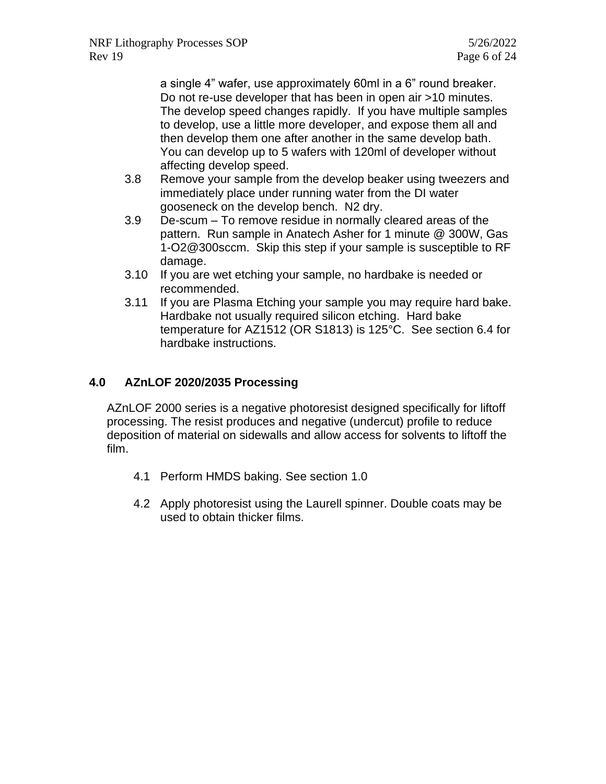a single 4" wafer, use approximately 60ml in a 6" round breaker. Do not re-use developer that has been in open air >10 minutes. The develop speed changes rapidly. If you have multiple samples to develop, use a little more developer, and expose them all and then develop them one after another in the same develop bath. You can develop up to 5 wafers with 120ml of developer without affecting develop speed.

- 3.8 Remove your sample from the develop beaker using tweezers and immediately place under running water from the DI water gooseneck on the develop bench. N2 dry.
- 3.9 De-scum To remove residue in normally cleared areas of the pattern. Run sample in Anatech Asher for 1 minute @ 300W, Gas 1-O2@300sccm. Skip this step if your sample is susceptible to RF damage.
- 3.10 If you are wet etching your sample, no hardbake is needed or recommended.
- 3.11 If you are Plasma Etching your sample you may require hard bake. Hardbake not usually required silicon etching. Hard bake temperature for AZ1512 (OR S1813) is 125°C. See section 6.4 for hardbake instructions.

# **4.0 AZnLOF 2020/2035 Processing**

AZnLOF 2000 series is a negative photoresist designed specifically for liftoff processing. The resist produces and negative (undercut) profile to reduce deposition of material on sidewalls and allow access for solvents to liftoff the film.

- 4.1 Perform HMDS baking. See section 1.0
- 4.2 Apply photoresist using the Laurell spinner. Double coats may be used to obtain thicker films.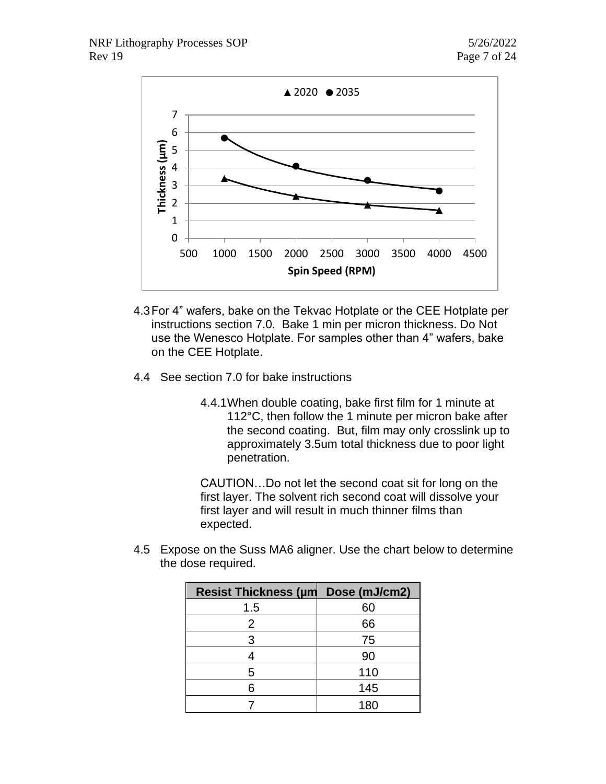

- 4.3For 4" wafers, bake on the Tekvac Hotplate or the CEE Hotplate per instructions section 7.0. Bake 1 min per micron thickness. Do Not use the Wenesco Hotplate. For samples other than 4" wafers, bake on the CEE Hotplate.
- 4.4 See section 7.0 for bake instructions
	- 4.4.1When double coating, bake first film for 1 minute at 112°C, then follow the 1 minute per micron bake after the second coating. But, film may only crosslink up to approximately 3.5um total thickness due to poor light penetration.

CAUTION…Do not let the second coat sit for long on the first layer. The solvent rich second coat will dissolve your first layer and will result in much thinner films than expected.

4.5 Expose on the Suss MA6 aligner. Use the chart below to determine the dose required.

| <b>Resist Thickness (µm</b> | Dose (mJ/cm2) |
|-----------------------------|---------------|
| 1.5                         | 60            |
| $\overline{2}$              | 66            |
| 3                           | 75            |
|                             | 90            |
| 5                           | 110           |
| 6                           | 145           |
|                             | 180           |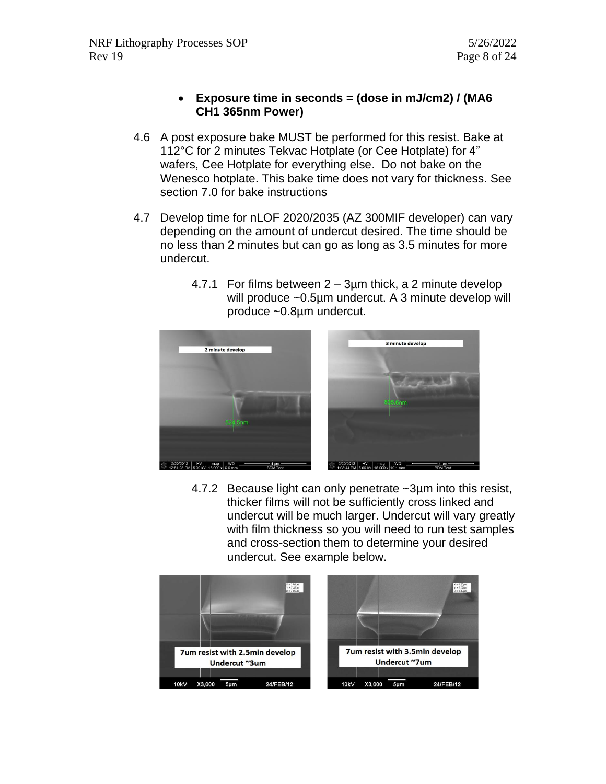- **Exposure time in seconds = (dose in mJ/cm2) / (MA6 CH1 365nm Power)**
- 4.6 A post exposure bake MUST be performed for this resist. Bake at 112°C for 2 minutes Tekvac Hotplate (or Cee Hotplate) for 4" wafers, Cee Hotplate for everything else. Do not bake on the Wenesco hotplate. This bake time does not vary for thickness. See section 7.0 for bake instructions
- 4.7 Develop time for nLOF 2020/2035 (AZ 300MIF developer) can vary depending on the amount of undercut desired. The time should be no less than 2 minutes but can go as long as 3.5 minutes for more undercut.
	- 4.7.1 For films between 2 3µm thick, a 2 minute develop will produce ~0.5µm undercut. A 3 minute develop will produce ~0.8µm undercut.



4.7.2 Because light can only penetrate ~3µm into this resist, thicker films will not be sufficiently cross linked and undercut will be much larger. Undercut will vary greatly with film thickness so you will need to run test samples and cross-section them to determine your desired undercut. See example below.

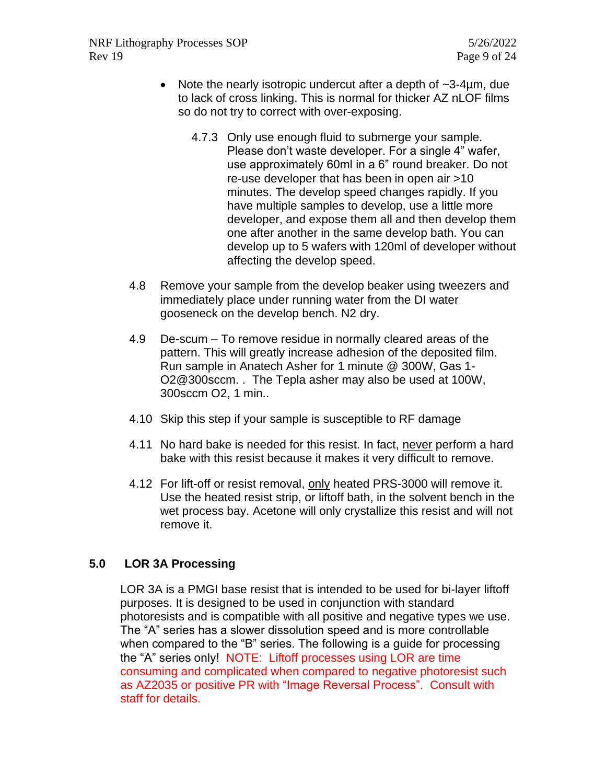- Note the nearly isotropic undercut after a depth of ~3-4um, due to lack of cross linking. This is normal for thicker AZ nLOF films so do not try to correct with over-exposing.
	- 4.7.3 Only use enough fluid to submerge your sample. Please don't waste developer. For a single 4" wafer, use approximately 60ml in a 6" round breaker. Do not re-use developer that has been in open air >10 minutes. The develop speed changes rapidly. If you have multiple samples to develop, use a little more developer, and expose them all and then develop them one after another in the same develop bath. You can develop up to 5 wafers with 120ml of developer without affecting the develop speed.
- 4.8 Remove your sample from the develop beaker using tweezers and immediately place under running water from the DI water gooseneck on the develop bench. N2 dry.
- 4.9 De-scum To remove residue in normally cleared areas of the pattern. This will greatly increase adhesion of the deposited film. Run sample in Anatech Asher for 1 minute @ 300W, Gas 1- O2@300sccm. . The Tepla asher may also be used at 100W, 300sccm O2, 1 min..
- 4.10 Skip this step if your sample is susceptible to RF damage
- 4.11 No hard bake is needed for this resist. In fact, never perform a hard bake with this resist because it makes it very difficult to remove.
- 4.12 For lift-off or resist removal, only heated PRS-3000 will remove it. Use the heated resist strip, or liftoff bath, in the solvent bench in the wet process bay. Acetone will only crystallize this resist and will not remove it.

# **5.0 LOR 3A Processing**

LOR 3A is a PMGI base resist that is intended to be used for bi-layer liftoff purposes. It is designed to be used in conjunction with standard photoresists and is compatible with all positive and negative types we use. The "A" series has a slower dissolution speed and is more controllable when compared to the "B" series. The following is a guide for processing the "A" series only! NOTE: Liftoff processes using LOR are time consuming and complicated when compared to negative photoresist such as AZ2035 or positive PR with "Image Reversal Process". Consult with staff for details.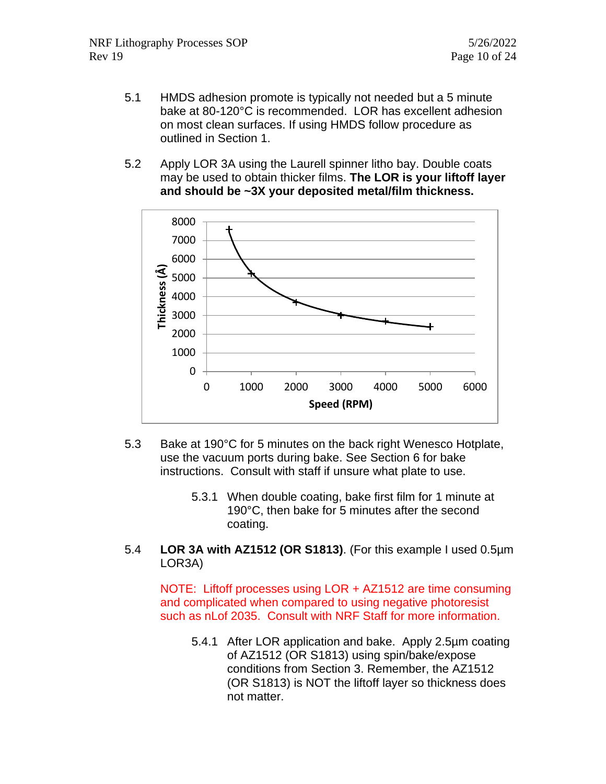- 5.1 HMDS adhesion promote is typically not needed but a 5 minute bake at 80-120°C is recommended. LOR has excellent adhesion on most clean surfaces. If using HMDS follow procedure as outlined in Section 1.
- 5.2 Apply LOR 3A using the Laurell spinner litho bay. Double coats may be used to obtain thicker films. **The LOR is your liftoff layer and should be ~3X your deposited metal/film thickness.**



- 5.3 Bake at 190°C for 5 minutes on the back right Wenesco Hotplate, use the vacuum ports during bake. See Section 6 for bake instructions. Consult with staff if unsure what plate to use.
	- 5.3.1 When double coating, bake first film for 1 minute at 190°C, then bake for 5 minutes after the second coating.
- 5.4 **LOR 3A with AZ1512 (OR S1813)**. (For this example I used 0.5µm LOR3A)

NOTE: Liftoff processes using LOR + AZ1512 are time consuming and complicated when compared to using negative photoresist such as nLof 2035. Consult with NRF Staff for more information.

5.4.1 After LOR application and bake. Apply 2.5µm coating of AZ1512 (OR S1813) using spin/bake/expose conditions from Section 3. Remember, the AZ1512 (OR S1813) is NOT the liftoff layer so thickness does not matter.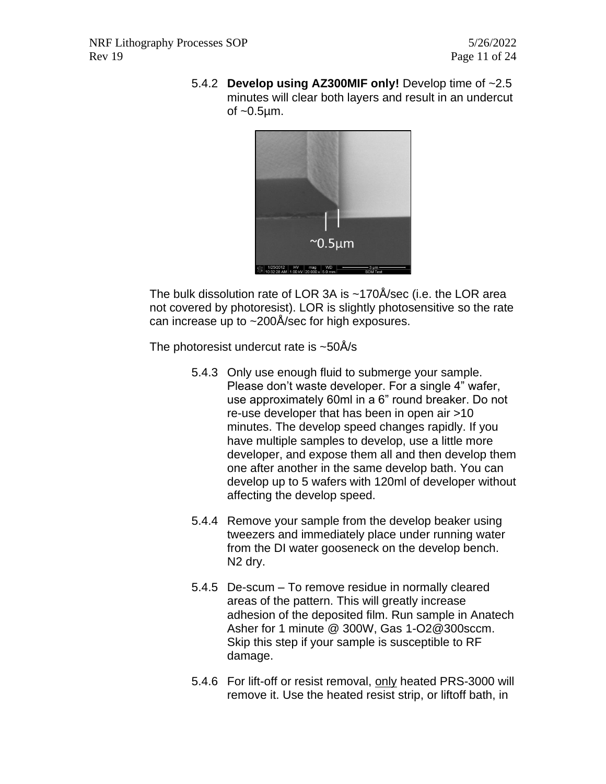5.4.2 **Develop using AZ300MIF only!** Develop time of ~2.5 minutes will clear both layers and result in an undercut of  $\sim 0.5 \mu m$ .



The bulk dissolution rate of LOR 3A is ~170Å/sec (i.e. the LOR area not covered by photoresist). LOR is slightly photosensitive so the rate can increase up to ~200Å/sec for high exposures.

The photoresist undercut rate is  $\sim$  50Å/s

- 5.4.3 Only use enough fluid to submerge your sample. Please don't waste developer. For a single 4" wafer, use approximately 60ml in a 6" round breaker. Do not re-use developer that has been in open air >10 minutes. The develop speed changes rapidly. If you have multiple samples to develop, use a little more developer, and expose them all and then develop them one after another in the same develop bath. You can develop up to 5 wafers with 120ml of developer without affecting the develop speed.
- 5.4.4 Remove your sample from the develop beaker using tweezers and immediately place under running water from the DI water gooseneck on the develop bench. N2 dry.
- 5.4.5 De-scum To remove residue in normally cleared areas of the pattern. This will greatly increase adhesion of the deposited film. Run sample in Anatech Asher for 1 minute @ 300W, Gas 1-O2@300sccm. Skip this step if your sample is susceptible to RF damage.
- 5.4.6 For lift-off or resist removal, only heated PRS-3000 will remove it. Use the heated resist strip, or liftoff bath, in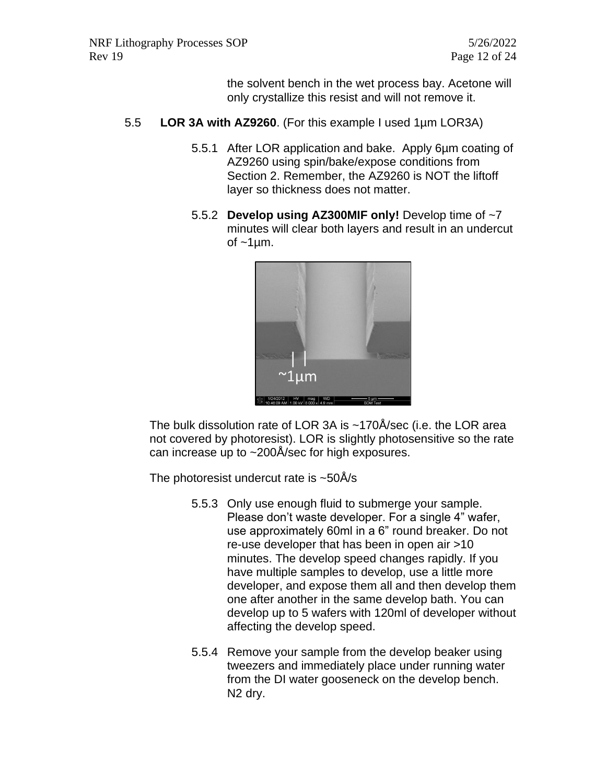the solvent bench in the wet process bay. Acetone will only crystallize this resist and will not remove it.

- 5.5 **LOR 3A with AZ9260**. (For this example I used 1µm LOR3A)
	- 5.5.1 After LOR application and bake. Apply 6µm coating of AZ9260 using spin/bake/expose conditions from Section 2. Remember, the AZ9260 is NOT the liftoff layer so thickness does not matter.
	- 5.5.2 **Develop using AZ300MIF only!** Develop time of ~7 minutes will clear both layers and result in an undercut of  $~1 \mu m$ .



The bulk dissolution rate of LOR 3A is ~170Å/sec (i.e. the LOR area not covered by photoresist). LOR is slightly photosensitive so the rate can increase up to ~200Å/sec for high exposures.

The photoresist undercut rate is  $\sim$ 50Å/s

- 5.5.3 Only use enough fluid to submerge your sample. Please don't waste developer. For a single 4" wafer, use approximately 60ml in a 6" round breaker. Do not re-use developer that has been in open air >10 minutes. The develop speed changes rapidly. If you have multiple samples to develop, use a little more developer, and expose them all and then develop them one after another in the same develop bath. You can develop up to 5 wafers with 120ml of developer without affecting the develop speed.
- 5.5.4 Remove your sample from the develop beaker using tweezers and immediately place under running water from the DI water gooseneck on the develop bench. N2 dry.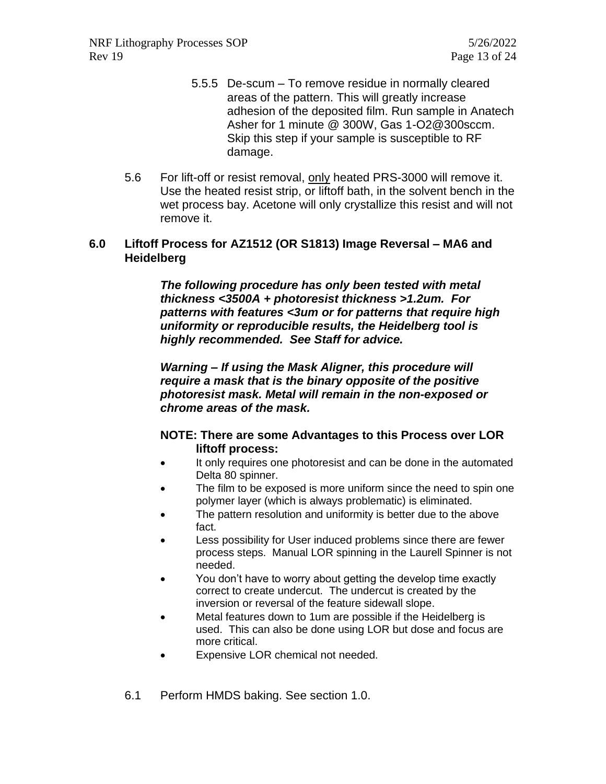NRF Lithography Processes SOP 5/26/2022 Rev 19 Page 13 of 24

- 5.5.5 De-scum To remove residue in normally cleared areas of the pattern. This will greatly increase adhesion of the deposited film. Run sample in Anatech Asher for 1 minute @ 300W, Gas 1-O2@300sccm. Skip this step if your sample is susceptible to RF damage.
- 5.6 For lift-off or resist removal, only heated PRS-3000 will remove it. Use the heated resist strip, or liftoff bath, in the solvent bench in the wet process bay. Acetone will only crystallize this resist and will not remove it.

#### **6.0 Liftoff Process for AZ1512 (OR S1813) Image Reversal – MA6 and Heidelberg**

*The following procedure has only been tested with metal thickness <3500A + photoresist thickness >1.2um. For patterns with features <3um or for patterns that require high uniformity or reproducible results, the Heidelberg tool is highly recommended. See Staff for advice.*

*Warning – If using the Mask Aligner, this procedure will require a mask that is the binary opposite of the positive photoresist mask. Metal will remain in the non-exposed or chrome areas of the mask.* 

#### **NOTE: There are some Advantages to this Process over LOR liftoff process:**

- It only requires one photoresist and can be done in the automated Delta 80 spinner.
- The film to be exposed is more uniform since the need to spin one polymer layer (which is always problematic) is eliminated.
- The pattern resolution and uniformity is better due to the above fact.
- Less possibility for User induced problems since there are fewer process steps. Manual LOR spinning in the Laurell Spinner is not needed.
- You don't have to worry about getting the develop time exactly correct to create undercut. The undercut is created by the inversion or reversal of the feature sidewall slope.
- Metal features down to 1um are possible if the Heidelberg is used. This can also be done using LOR but dose and focus are more critical.
- Expensive LOR chemical not needed.
- 6.1 Perform HMDS baking. See section 1.0.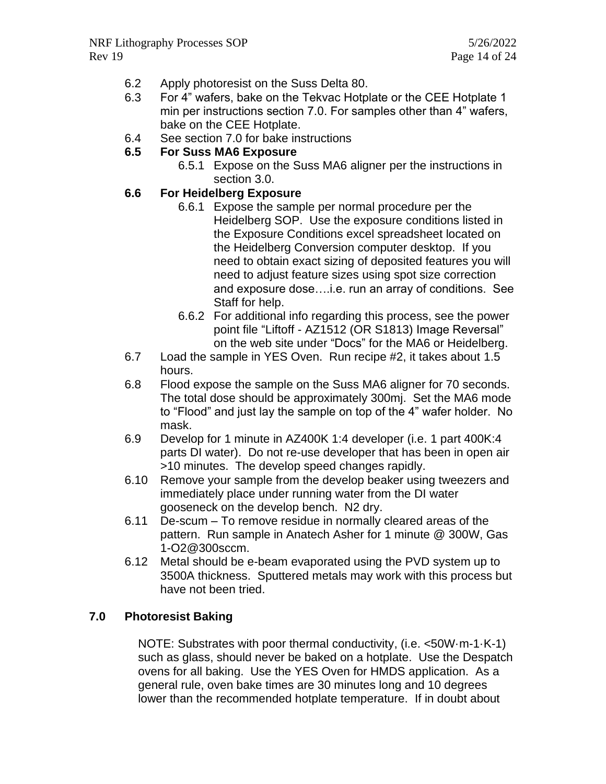- 6.2 Apply photoresist on the Suss Delta 80.
- 6.3 For 4" wafers, bake on the Tekvac Hotplate or the CEE Hotplate 1 min per instructions section 7.0. For samples other than 4" wafers, bake on the CEE Hotplate.
- 6.4 See section 7.0 for bake instructions

#### **6.5 For Suss MA6 Exposure**

6.5.1 Expose on the Suss MA6 aligner per the instructions in section 3.0.

#### **6.6 For Heidelberg Exposure**

- 6.6.1 Expose the sample per normal procedure per the Heidelberg SOP. Use the exposure conditions listed in the Exposure Conditions excel spreadsheet located on the Heidelberg Conversion computer desktop. If you need to obtain exact sizing of deposited features you will need to adjust feature sizes using spot size correction and exposure dose….i.e. run an array of conditions. See Staff for help.
- 6.6.2 For additional info regarding this process, see the power point file "Liftoff - AZ1512 (OR S1813) Image Reversal" on the web site under "Docs" for the MA6 or Heidelberg.
- 6.7 Load the sample in YES Oven. Run recipe #2, it takes about 1.5 hours.
- 6.8 Flood expose the sample on the Suss MA6 aligner for 70 seconds. The total dose should be approximately 300mj. Set the MA6 mode to "Flood" and just lay the sample on top of the 4" wafer holder. No mask.
- 6.9 Develop for 1 minute in AZ400K 1:4 developer (i.e. 1 part 400K:4 parts DI water). Do not re-use developer that has been in open air >10 minutes. The develop speed changes rapidly.
- 6.10 Remove your sample from the develop beaker using tweezers and immediately place under running water from the DI water gooseneck on the develop bench. N2 dry.
- 6.11 De-scum To remove residue in normally cleared areas of the pattern. Run sample in Anatech Asher for 1 minute @ 300W, Gas 1-O2@300sccm.
- 6.12 Metal should be e-beam evaporated using the PVD system up to 3500A thickness. Sputtered metals may work with this process but have not been tried.

# **7.0 Photoresist Baking**

NOTE: Substrates with poor thermal conductivity, (i.e. <50W·m-1·K-1) such as glass, should never be baked on a hotplate. Use the Despatch ovens for all baking. Use the YES Oven for HMDS application. As a general rule, oven bake times are 30 minutes long and 10 degrees lower than the recommended hotplate temperature. If in doubt about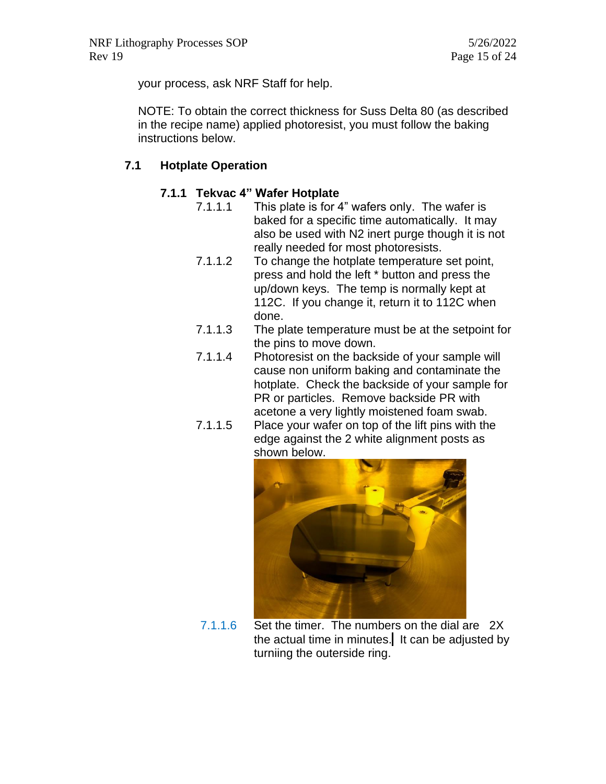your process, ask NRF Staff for help.

NOTE: To obtain the correct thickness for Suss Delta 80 (as described in the recipe name) applied photoresist, you must follow the baking instructions below.

# **7.1 Hotplate Operation**

#### **7.1.1 Tekvac 4" Wafer Hotplate**

- 7.1.1.1 This plate is for 4" wafers only. The wafer is baked for a specific time automatically. It may also be used with N2 inert purge though it is not really needed for most photoresists.
	- 7.1.1.2 To change the hotplate temperature set point, press and hold the left \* button and press the up/down keys. The temp is normally kept at 112C. If you change it, return it to 112C when done.
	- 7.1.1.3 The plate temperature must be at the setpoint for the pins to move down.
	- 7.1.1.4 Photoresist on the backside of your sample will cause non uniform baking and contaminate the hotplate. Check the backside of your sample for PR or particles. Remove backside PR with acetone a very lightly moistened foam swab.
	- 7.1.1.5 Place your wafer on top of the lift pins with the edge against the 2 white alignment posts as shown below.



7.1.1.6 Set the timer. The numbers on the dial are 2X the actual time in minutes. It can be adjusted by turniing the outerside ring.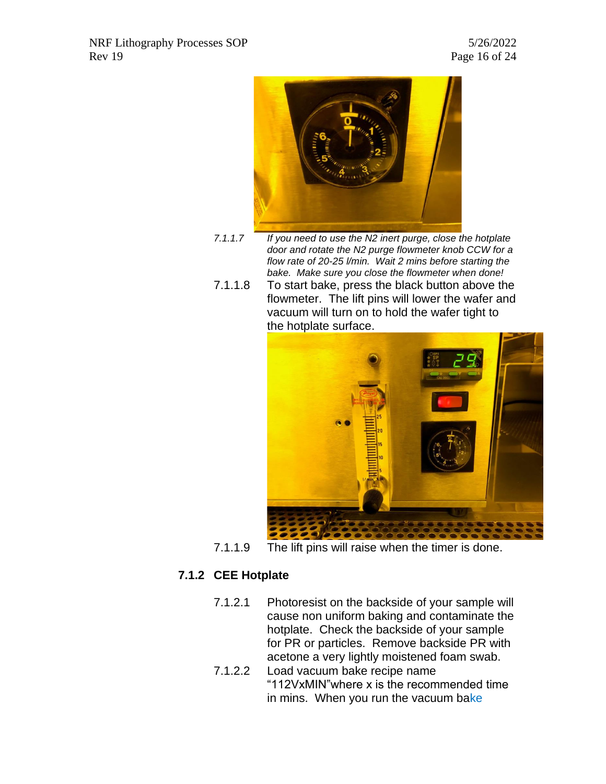

- *7.1.1.7 If you need to use the N2 inert purge, close the hotplate door and rotate the N2 purge flowmeter knob CCW for a flow rate of 20-25 l/min. Wait 2 mins before starting the bake. Make sure you close the flowmeter when done!*
- 7.1.1.8 To start bake, press the black button above the flowmeter. The lift pins will lower the wafer and vacuum will turn on to hold the wafer tight to the hotplate surface.



7.1.1.9 The lift pins will raise when the timer is done.

# **7.1.2 CEE Hotplate**

- 7.1.2.1 Photoresist on the backside of your sample will cause non uniform baking and contaminate the hotplate. Check the backside of your sample for PR or particles. Remove backside PR with acetone a very lightly moistened foam swab.
- 7.1.2.2 Load vacuum bake recipe name "112VxMIN"where x is the recommended time in mins. When you run the vacuum bake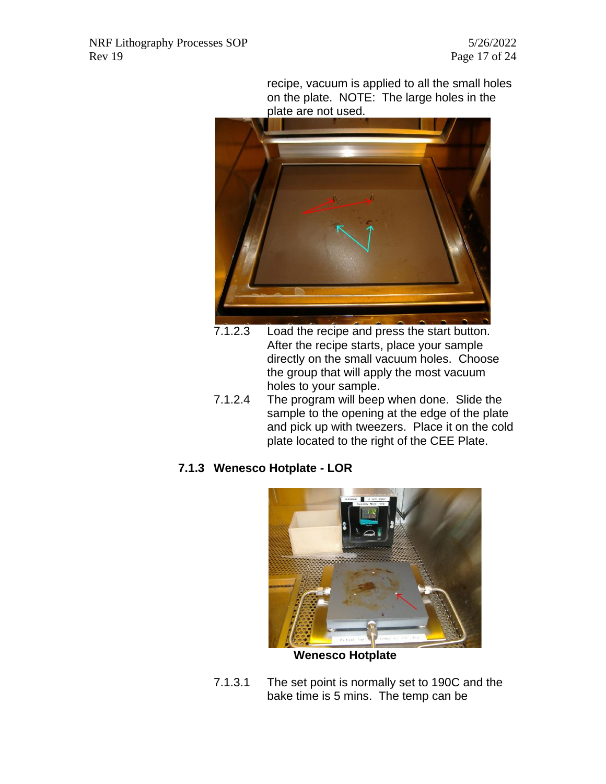recipe, vacuum is applied to all the small holes on the plate. NOTE: The large holes in the plate are not used.



- 7.1.2.3 Load the recipe and press the start button. After the recipe starts, place your sample directly on the small vacuum holes. Choose the group that will apply the most vacuum holes to your sample.
- 7.1.2.4 The program will beep when done. Slide the sample to the opening at the edge of the plate and pick up with tweezers. Place it on the cold plate located to the right of the CEE Plate.

# **7.1.3 Wenesco Hotplate - LOR**



7.1.3.1 The set point is normally set to 190C and the bake time is 5 mins. The temp can be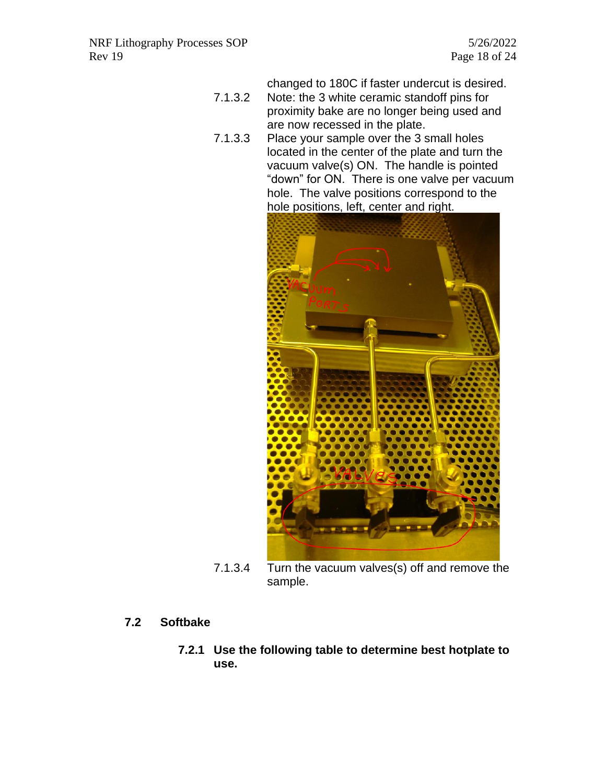changed to 180C if faster undercut is desired.

- 7.1.3.2 Note: the 3 white ceramic standoff pins for proximity bake are no longer being used and are now recessed in the plate.
- 7.1.3.3 Place your sample over the 3 small holes located in the center of the plate and turn the vacuum valve(s) ON. The handle is pointed "down" for ON. There is one valve per vacuum hole. The valve positions correspond to the hole positions, left, center and right.



7.1.3.4 Turn the vacuum valves(s) off and remove the sample.

# **7.2 Softbake**

**7.2.1 Use the following table to determine best hotplate to use.**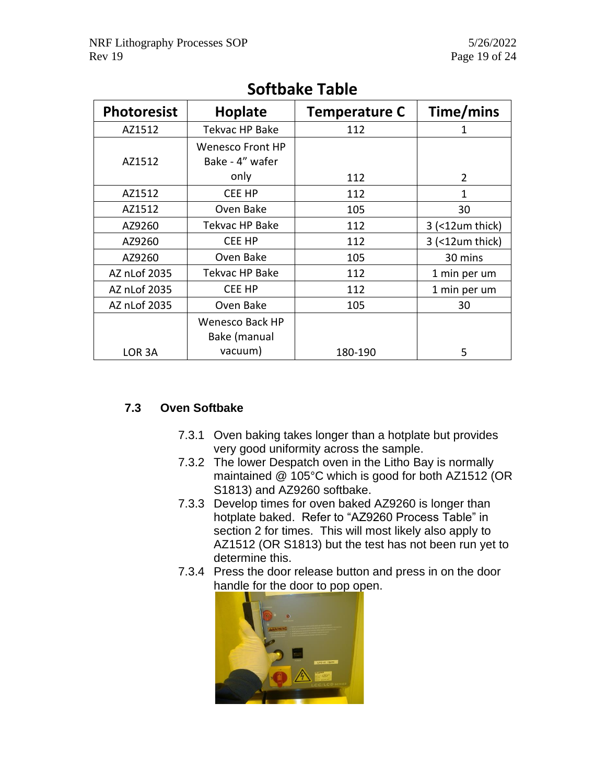| <b>Photoresist</b> | <b>Hoplate</b>          | <b>Temperature C</b> | Time/mins         |
|--------------------|-------------------------|----------------------|-------------------|
| AZ1512             | Tekvac HP Bake          | 112                  | 1                 |
|                    | <b>Wenesco Front HP</b> |                      |                   |
| AZ1512             | Bake - 4" wafer         |                      |                   |
|                    | only                    | 112                  | 2                 |
| AZ1512             | CEE HP                  | 112                  | 1                 |
| AZ1512             | Oven Bake               | 105                  | 30                |
| AZ9260             | Tekvac HP Bake          | 112                  | 3 (<12um thick)   |
| AZ9260             | CEE HP                  | 112                  | $3$ (<12um thick) |
| AZ9260             | Oven Bake               | 105                  | 30 mins           |
| AZ nLof 2035       | Tekvac HP Bake          | 112                  | 1 min per um      |
| AZ nLof 2035       | CEE HP                  | 112                  | 1 min per um      |
| AZ nLof 2035       | Oven Bake               | 105                  | 30                |
|                    | <b>Wenesco Back HP</b>  |                      |                   |
|                    | Bake (manual            |                      |                   |
| LOR 3A             | vacuum)                 | 180-190              | 5                 |

# **Softbake Table**

# **7.3 Oven Softbake**

- 7.3.1 Oven baking takes longer than a hotplate but provides very good uniformity across the sample.
- 7.3.2 The lower Despatch oven in the Litho Bay is normally maintained @ 105°C which is good for both AZ1512 (OR S1813) and AZ9260 softbake.
- 7.3.3 Develop times for oven baked AZ9260 is longer than hotplate baked. Refer to "AZ9260 Process Table" in section 2 for times. This will most likely also apply to AZ1512 (OR S1813) but the test has not been run yet to determine this.
- 7.3.4 Press the door release button and press in on the door handle for the door to pop open.

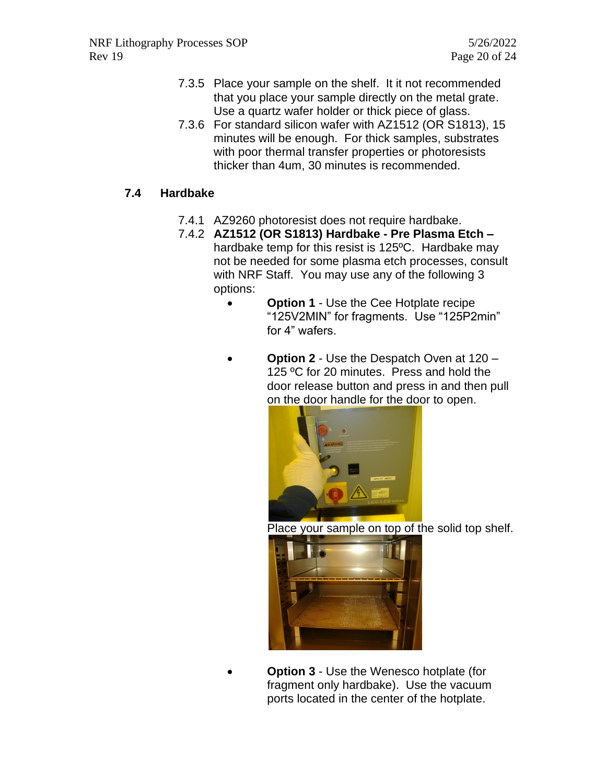- 7.3.5 Place your sample on the shelf. It it not recommended that you place your sample directly on the metal grate. Use a quartz wafer holder or thick piece of glass.
- 7.3.6 For standard silicon wafer with AZ1512 (OR S1813), 15 minutes will be enough. For thick samples, substrates with poor thermal transfer properties or photoresists thicker than 4um, 30 minutes is recommended.

# **7.4 Hardbake**

- 7.4.1 AZ9260 photoresist does not require hardbake.
- 7.4.2 **AZ1512 (OR S1813) Hardbake - Pre Plasma Etch –** hardbake temp for this resist is 125ºC. Hardbake may not be needed for some plasma etch processes, consult with NRF Staff. You may use any of the following 3 options:
	- **Option 1** Use the Cee Hotplate recipe "125V2MIN" for fragments. Use "125P2min" for 4" wafers.
	- **Option 2** Use the Despatch Oven at 120 125 °C for 20 minutes. Press and hold the door release button and press in and then pull on the door handle for the door to open.



Place your sample on top of the solid top shelf.



**Option 3** - Use the Wenesco hotplate (for fragment only hardbake). Use the vacuum ports located in the center of the hotplate.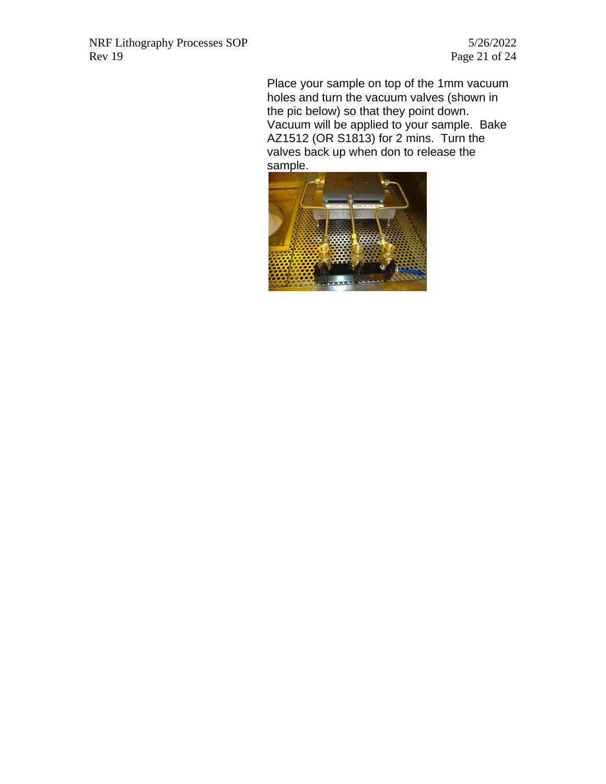Page 21 of  $24$ 

Place your sample on top of the 1mm vacuum holes and turn the vacuum valves (shown in the pic below) so that they point down. Vacuum will be applied to your sample. Bake AZ1512 (OR S1813) for 2 mins. Turn the valves back up when don to release the sample.

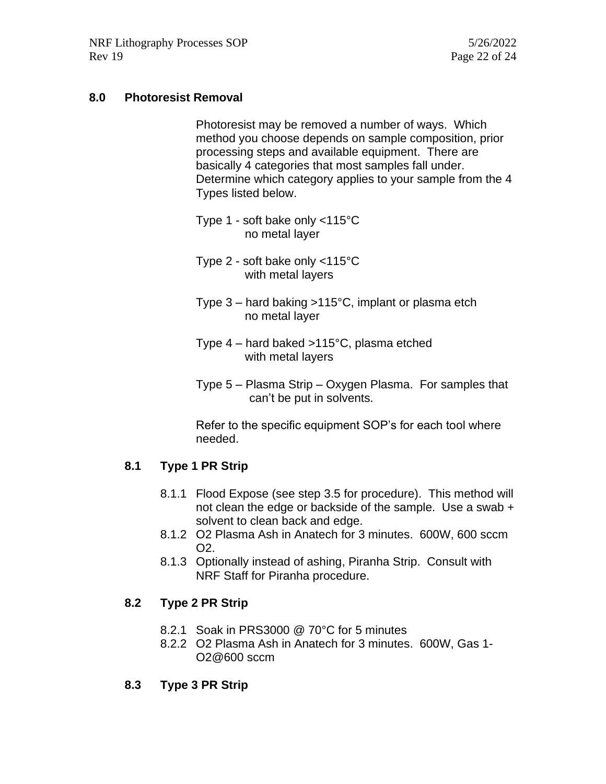#### **8.0 Photoresist Removal**

Photoresist may be removed a number of ways. Which method you choose depends on sample composition, prior processing steps and available equipment. There are basically 4 categories that most samples fall under. Determine which category applies to your sample from the 4 Types listed below.

- Type 1 soft bake only <115°C no metal layer
- Type 2 soft bake only <115°C with metal layers
- Type 3 hard baking >115°C, implant or plasma etch no metal layer
- Type 4 hard baked >115°C, plasma etched with metal layers
- Type 5 Plasma Strip Oxygen Plasma. For samples that can't be put in solvents.

Refer to the specific equipment SOP's for each tool where needed.

#### **8.1 Type 1 PR Strip**

- 8.1.1 Flood Expose (see step 3.5 for procedure). This method will not clean the edge or backside of the sample. Use a swab + solvent to clean back and edge.
- 8.1.2 O2 Plasma Ash in Anatech for 3 minutes. 600W, 600 sccm O2.
- 8.1.3 Optionally instead of ashing, Piranha Strip. Consult with NRF Staff for Piranha procedure.

# **8.2 Type 2 PR Strip**

- 8.2.1 Soak in PRS3000 @ 70°C for 5 minutes
- 8.2.2 O2 Plasma Ash in Anatech for 3 minutes. 600W, Gas 1- O2@600 sccm
- **8.3 Type 3 PR Strip**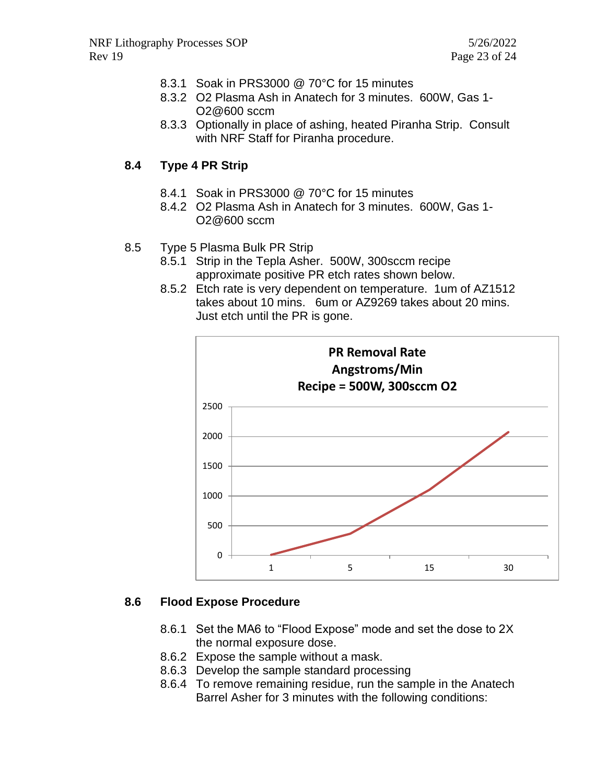- 8.3.1 Soak in PRS3000 @ 70°C for 15 minutes
- 8.3.2 O2 Plasma Ash in Anatech for 3 minutes. 600W, Gas 1- O2@600 sccm
- 8.3.3 Optionally in place of ashing, heated Piranha Strip. Consult with NRF Staff for Piranha procedure.

#### **8.4 Type 4 PR Strip**

- 8.4.1 Soak in PRS3000 @ 70°C for 15 minutes
- 8.4.2 O2 Plasma Ash in Anatech for 3 minutes. 600W, Gas 1- O2@600 sccm
- 8.5 Type 5 Plasma Bulk PR Strip
	- 8.5.1 Strip in the Tepla Asher. 500W, 300sccm recipe approximate positive PR etch rates shown below.
	- 8.5.2 Etch rate is very dependent on temperature. 1um of AZ1512 takes about 10 mins. 6um or AZ9269 takes about 20 mins. Just etch until the PR is gone.



#### **8.6 Flood Expose Procedure**

- 8.6.1 Set the MA6 to "Flood Expose" mode and set the dose to 2X the normal exposure dose.
- 8.6.2 Expose the sample without a mask.
- 8.6.3 Develop the sample standard processing
- 8.6.4 To remove remaining residue, run the sample in the Anatech Barrel Asher for 3 minutes with the following conditions: